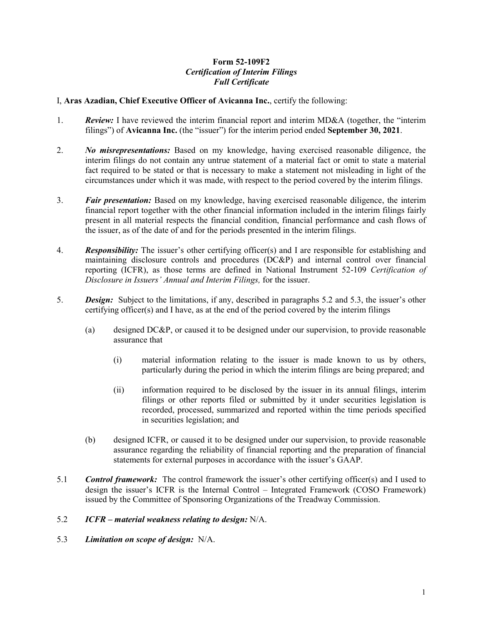## **Form 52-109F2**  *Certification of Interim Filings Full Certificate*

## I, **Aras Azadian, Chief Executive Officer of Avicanna Inc.**, certify the following:

- 1. *Review:* I have reviewed the interim financial report and interim MD&A (together, the "interim filings") of **Avicanna Inc.** (the "issuer") for the interim period ended **September 30, 2021**.
- 2. *No misrepresentations:* Based on my knowledge, having exercised reasonable diligence, the interim filings do not contain any untrue statement of a material fact or omit to state a material fact required to be stated or that is necessary to make a statement not misleading in light of the circumstances under which it was made, with respect to the period covered by the interim filings.
- 3. *Fair presentation:* Based on my knowledge, having exercised reasonable diligence, the interim financial report together with the other financial information included in the interim filings fairly present in all material respects the financial condition, financial performance and cash flows of the issuer, as of the date of and for the periods presented in the interim filings.
- 4. *Responsibility:* The issuer's other certifying officer(s) and I are responsible for establishing and maintaining disclosure controls and procedures (DC&P) and internal control over financial reporting (ICFR), as those terms are defined in National Instrument 52-109 *Certification of Disclosure in Issuers' Annual and Interim Filings,* for the issuer.
- 5. *Design:* Subject to the limitations, if any, described in paragraphs 5.2 and 5.3, the issuer's other certifying officer(s) and I have, as at the end of the period covered by the interim filings
	- (a) designed DC&P, or caused it to be designed under our supervision, to provide reasonable assurance that
		- (i) material information relating to the issuer is made known to us by others, particularly during the period in which the interim filings are being prepared; and
		- (ii) information required to be disclosed by the issuer in its annual filings, interim filings or other reports filed or submitted by it under securities legislation is recorded, processed, summarized and reported within the time periods specified in securities legislation; and
	- (b) designed ICFR, or caused it to be designed under our supervision, to provide reasonable assurance regarding the reliability of financial reporting and the preparation of financial statements for external purposes in accordance with the issuer's GAAP.
- 5.1 *Control framework:* The control framework the issuer's other certifying officer(s) and I used to design the issuer's ICFR is the Internal Control – Integrated Framework (COSO Framework) issued by the Committee of Sponsoring Organizations of the Treadway Commission.

## 5.2 *ICFR – material weakness relating to design:* N/A.

5.3 *Limitation on scope of design:* N/A.